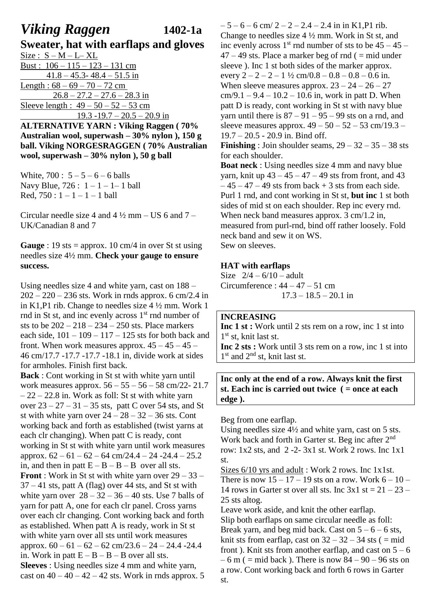# *Viking Raggen* **1402-1a**

**Sweater, hat with earflaps and gloves**   $Size: S - M - L - XL$ Bust :  $106 - 115 - 123 - 131$  cm  $41.8 - 45.3 - 48.4 - 51.5$  in Length :  $68 - 69 - 70 - 72$  cm  $26.8 - 27.2 - 27.6 - 28.3$  in Sleeve length :  $49 - 50 - 52 - 53$  cm  $19.3 - 19.7 - 20.5 - 20.9$  in **ALTERNATIVE YARN : Viking Raggen ( 70%** 

**Australian wool, superwash – 30% nylon ), 150 g ball. Viking NORGESRAGGEN ( 70% Australian wool, superwash – 30% nylon ), 50 g ball**

White,  $700: 5 - 5 - 6 - 6$  balls Navy Blue,  $726: 1 - 1 - 1 - 1$  ball Red,  $750 : 1 - 1 - 1 - 1$  ball

Circular needle size 4 and  $4\frac{1}{2}$  mm – US 6 and  $7$  – UK/Canadian 8 and 7

**Gauge** : 19 sts = approx. 10 cm/4 in over St st using needles size 4½ mm. **Check your gauge to ensure success.** 

Using needles size 4 and white yarn, cast on 188 –  $202 - 220 - 236$  sts. Work in rnds approx. 6 cm/2.4 in in K1,P1 rib. Change to needles size 4 ½ mm. Work 1 rnd in St st, and inc evenly across  $1<sup>st</sup>$  rnd number of sts to be  $202 - 218 - 234 - 250$  sts. Place markers each side,  $101 - 109 - 117 - 125$  sts for both back and front. When work measures approx.  $45 - 45 - 45 -$ 46 cm/17.7 -17.7 -17.7 -18.1 in, divide work at sides for armholes. Finish first back.

**Back** : Cont working in St st with white yarn until work measures approx. 56 – 55 – 56 – 58 cm/22- 21.7  $-22 - 22.8$  in. Work as foll: St st with white yarn over  $23 - 27 - 31 - 35$  sts, patt C over 54 sts, and St st with white yarn over  $24 - 28 - 32 - 36$  sts. Cont working back and forth as established (twist yarns at each clr changing). When patt C is ready, cont working in St st with white yarn until work measures approx.  $62 - 61 - 62 - 64$  cm/24.4 – 24 - 24.4 – 25.2 in, and then in patt  $E - B - B - B$  over all sts. **Front**: Work in St st with white yarn over  $29 - 33 37 - 41$  sts, patt A (flag) over 44 sts, and St st with white yarn over  $28 - 32 - 36 - 40$  sts. Use 7 balls of yarn for patt A, one for each clr panel. Cross yarns over each clr changing. Cont working back and forth as established. When patt A is ready, work in St st with white yarn over all sts until work measures approx.  $60 - 61 - 62 - 62$  cm/23.6  $- 24 - 24.4 - 24.4$ in. Work in patt  $E - B - B - B$  over all sts. **Sleeves** : Using needles size 4 mm and white yarn, cast on  $40 - 40 - 42 - 42$  sts. Work in rnds approx. 5

 $-5 - 6 - 6$  cm/  $2 - 2 - 2.4 - 2.4$  in in K1,P1 rib. Change to needles size 4 ½ mm. Work in St st, and inc evenly across  $1<sup>st</sup>$  rnd number of sts to be  $45 - 45 47 - 49$  sts. Place a marker beg of rnd ( = mid under sleeve). Inc 1 st both sides of the marker approx. every  $2 - 2 - 2 - 1$   $\frac{1}{2}$  cm/0.8 – 0.8 – 0.8 – 0.6 in. When sleeve measures approx.  $23 - 24 - 26 - 27$  $cm/9.1 - 9.4 - 10.2 - 10.6$  in, work in patt D. When patt D is ready, cont working in St st with navy blue yarn until there is  $87 - 91 - 95 - 99$  sts on a rnd, and sleeve measures approx.  $49 - 50 - 52 - 53$  cm/19.3 – 19.7 – 20.5 - 20.9 in. Bind off. **Finishing** : Join shoulder seams,  $29 - 32 - 35 - 38$  sts for each shoulder. **Boat neck** : Using needles size 4 mm and navy blue yarn, knit up 43 – 45 – 47 – 49 sts from front, and 43  $-45 - 47 - 49$  sts from back  $+ 3$  sts from each side. Purl 1 rnd, and cont working in St st, **but inc** 1 st both sides of mid st on each shoulder. Rep inc every rnd. When neck band measures approx. 3 cm/1.2 in, measured from purl-rnd, bind off rather loosely. Fold neck band and sew it on WS.

Sew on sleeves.

#### **HAT with earflaps**

Size  $2/4 - 6/10 =$  adult Circumference :  $44 - 47 - 51$  cm  $17.3 - 18.5 - 20.1$  in

#### **INCREASING**

**Inc 1 st :** Work until 2 sts rem on a row, inc 1 st into 1 st st, knit last st.

**Inc 2 sts :** Work until 3 sts rem on a row, inc 1 st into 1<sup>st</sup> and 2<sup>nd</sup> st, knit last st.

**Inc only at the end of a row. Always knit the first st. Each inc is carried out twice ( = once at each edge ).**

Beg from one earflap.

Using needles size 4½ and white yarn, cast on 5 sts. Work back and forth in Garter st. Beg inc after 2<sup>nd</sup> row: 1x2 sts, and 2 -2- 3x1 st. Work 2 rows. Inc 1x1 st.

Sizes 6/10 yrs and adult : Work 2 rows. Inc 1x1st. There is now  $15 - 17 - 19$  sts on a row. Work  $6 - 10 -$ 14 rows in Garter st over all sts. Inc  $3x1$  st =  $21 - 23 -$ 25 sts altog.

Leave work aside, and knit the other earflap. Slip both earflaps on same circular needle as foll: Break yarn, and beg mid back. Cast on  $5 - 6 - 6$  sts, knit sts from earflap, cast on  $32 - 32 - 34$  sts ( = mid front ). Knit sts from another earliap, and cast on  $5 - 6$  $-6$  m ( = mid back). There is now  $84 - 90 - 96$  sts on a row. Cont working back and forth 6 rows in Garter st.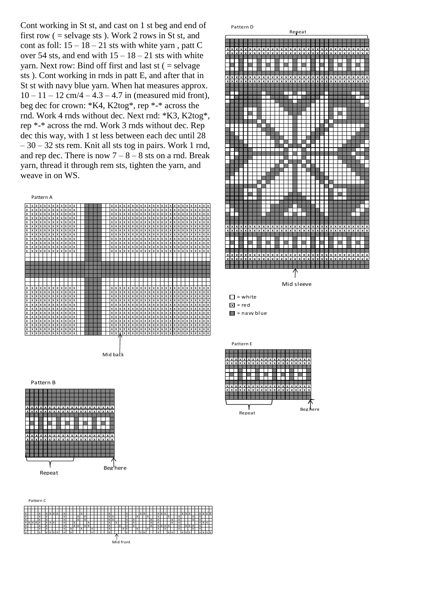Cont working in St st, and cast on 1 st beg and end of first row  $($  = selvage sts  $)$ . Work 2 rows in St st, and cont as foll:  $15 - 18 - 21$  sts with white yarn, patt C over 54 sts, and end with  $15 - 18 - 21$  sts with white yarn. Next row: Bind off first and last  $st$  ( $=$  selvage sts ). Cont working in rnds in patt E, and after that in St st with navy blue yarn. When hat measures approx.  $10 - 11 - 12$  cm/4 – 4.3 – 4.7 in (measured mid front), beg dec for crown: \*K4, K2tog\*, rep \*-\* across the rnd. Work 4 rnds without dec. Next rnd: \*K3, K2tog\*, rep \*-\* across the rnd. Work 3 rnds without dec. Rep dec this way, with 1 st less between each dec until 28  $-30 - 32$  sts rem. Knit all sts tog in pairs. Work 1 rnd, and rep dec. There is now  $7 - 8 - 8$  sts on a rnd. Break yarn, thread it through rem sts, tighten the yarn, and weave in on WS.





 $\Box$  = white  $x = red$  $\blacksquare$  = navy blue





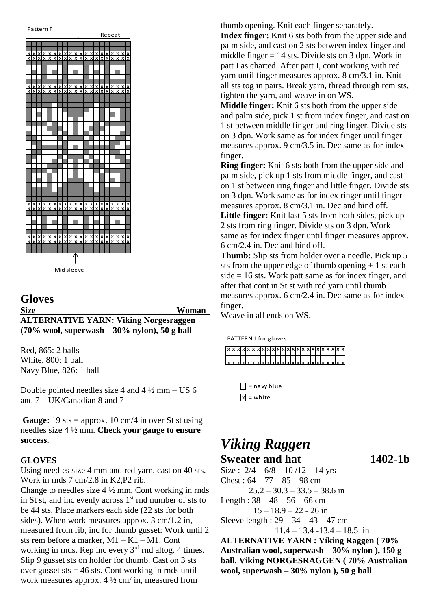

Mid sleeve

# **Gloves Size Woman**

**ALTERNATIVE YARN: Viking Norgesraggen (70% wool, superwash – 30% nylon), 50 g ball**

Red, 865: 2 balls White, 800: 1 ball Navy Blue, 826: 1 ball

Double pointed needles size 4 and  $4\frac{1}{2}$  mm – US 6 and 7 – UK/Canadian 8 and 7

**Gauge:** 19 sts = approx. 10 cm/4 in over St st using needles size 4 ½ mm. **Check your gauge to ensure success.** 

#### **GLOVES**

Using needles size 4 mm and red yarn, cast on 40 sts. Work in rnds 7 cm/2.8 in K2,P2 rib.

Change to needles size  $4\frac{1}{2}$  mm. Cont working in rnds in St st, and inc evenly across  $1<sup>st</sup>$  rnd number of sts to be 44 sts. Place markers each side (22 sts for both sides). When work measures approx. 3 cm/1.2 in, measured from rib, inc for thumb gusset: Work until 2 sts rem before a marker, M1 – K1 – M1. Cont working in rnds. Rep inc every  $3<sup>rd</sup>$  rnd altog. 4 times. Slip 9 gusset sts on holder for thumb. Cast on 3 sts over gusset sts  $= 46$  sts. Cont working in rnds until work measures approx.  $4\frac{1}{2}$  cm/ in, measured from

thumb opening. Knit each finger separately.

**Index finger:** Knit 6 sts both from the upper side and palm side, and cast on 2 sts between index finger and middle finger  $= 14$  sts. Divide sts on 3 dpn. Work in patt I as charted. After patt I, cont working with red yarn until finger measures approx. 8 cm/3.1 in. Knit all sts tog in pairs. Break yarn, thread through rem sts, tighten the yarn, and weave in on WS.

**Middle finger:** Knit 6 sts both from the upper side and palm side, pick 1 st from index finger, and cast on 1 st between middle finger and ring finger. Divide sts on 3 dpn. Work same as for index finger until finger measures approx. 9 cm/3.5 in. Dec same as for index finger.

**Ring finger:** Knit 6 sts both from the upper side and palm side, pick up 1 sts from middle finger, and cast on 1 st between ring finger and little finger. Divide sts on 3 dpn. Work same as for index ringer until finger measures approx. 8 cm/3.1 in. Dec and bind off. **Little finger:** Knit last 5 sts from both sides, pick up 2 sts from ring finger. Divide sts on 3 dpn. Work same as for index finger until finger measures approx. 6 cm/2.4 in. Dec and bind off.

**Thumb:** Slip sts from holder over a needle. Pick up 5 sts from the upper edge of thumb opening  $+1$  st each  $side = 16$  sts. Work patt same as for index finger, and after that cont in St st with red yarn until thumb measures approx. 6 cm/2.4 in. Dec same as for index finger.

\_\_\_\_\_\_\_\_\_\_\_\_\_\_\_\_\_\_\_\_\_\_\_\_\_\_\_\_\_\_\_\_\_\_\_\_\_\_\_\_\_\_\_

Weave in all ends on WS.

PATTERN I for gloves



 $\Box$  = navy blue  $x =$  white

# *Viking Raggen* **Sweater and hat 1402-1b**

Size:  $2/4 - 6/8 - 10/12 - 14$  yrs  $Check: 64 - 77 - 85 - 98$  cm  $25.2 - 30.3 - 33.5 - 38.6$  in Length :  $38 - 48 - 56 - 66$  cm 15 – 18.9 – 22 - 26 in Sleeve length :  $29 - 34 - 43 - 47$  cm

 $11.4 - 13.4 - 13.4 - 18.5$  in

**ALTERNATIVE YARN : Viking Raggen ( 70% Australian wool, superwash – 30% nylon ), 150 g ball. Viking NORGESRAGGEN ( 70% Australian wool, superwash – 30% nylon ), 50 g ball**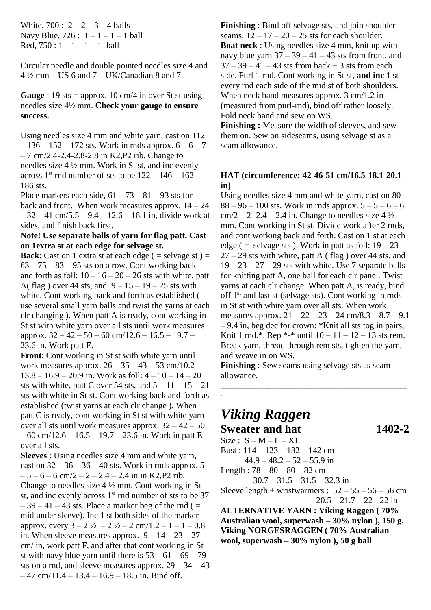White,  $700: 2 - 2 - 3 - 4$  balls Navy Blue,  $726: 1 - 1 - 1 - 1$  ball Red,  $750 : 1 - 1 - 1 - 1$  ball

Circular needle and double pointed needles size 4 and  $4\frac{1}{2}$  mm – US 6 and 7 – UK/Canadian 8 and 7

#### **Gauge** : 19 sts = approx. 10 cm/4 in over St st using needles size 4½ mm. **Check your gauge to ensure success.**

Using needles size 4 mm and white yarn, cast on 112  $-136 - 152 - 172$  sts. Work in rnds approx.  $6 - 6 - 7$ – 7 cm/2.4-2.4-2.8-2.8 in K2,P2 rib. Change to needles size 4 ½ mm. Work in St st, and inc evenly across  $1<sup>st</sup>$  rnd number of sts to be  $122 - 146 - 162$  – 186 sts.

Place markers each side,  $61 - 73 - 81 - 93$  sts for back and front. When work measures approx.  $14 - 24$  $-32 - 41$  cm/5.5 – 9.4 – 12.6 – 16.1 in, divide work at sides, and finish back first.

# **Note! Use separate balls of yarn for flag patt. Cast on 1extra st at each edge for selvage st.**

**Back**: Cast on 1 extra st at each edge ( $=$  selvage st)  $=$  $63 - 75 - 83 - 95$  sts on a row. Cont working back and forth as foll:  $10 - 16 - 20 - 26$  sts with white, patt A( flag ) over 44 sts, and  $9 - 15 - 19 - 25$  sts with white. Cont working back and forth as established ( use several small yarn balls and twist the yarns at each clr changing ). When patt A is ready, cont working in St st with white yarn over all sts until work measures approx.  $32 - 42 - 50 - 60$  cm/12.6  $- 16.5 - 19.7 -$ 23.6 in. Work patt E.

**Front**: Cont working in St st with white yarn until work measures approx.  $26 - 35 - 43 - 53$  cm/10.2 –  $13.8 - 16.9 - 20.9$  in. Work as foll:  $4 - 10 - 14 - 20$ sts with white, patt C over 54 sts, and  $5 - 11 - 15 - 21$ sts with white in St st. Cont working back and forth as established (twist yarns at each clr change ). When patt C is ready, cont working in St st with white yarn over all sts until work measures approx.  $32 - 42 - 50$  $-60$  cm/12.6  $-16.5 - 19.7 - 23.6$  in. Work in patt E over all sts.

**Sleeves** : Using needles size 4 mm and white yarn, cast on  $32 - 36 - 36 - 40$  sts. Work in rnds approx. 5  $-5 - 6 - 6$  cm/2  $- 2 - 2.4 - 2.4$  in in K2,P2 rib. Change to needles size 4 ½ mm. Cont working in St st, and inc evenly across  $1<sup>st</sup>$  rnd number of sts to be 37  $-39 - 41 - 43$  sts. Place a marker beg of the rnd ( $=$ mid under sleeve). Inc 1 st both sides of the marker approx. every  $3 - 2 \frac{1}{2} - 2 \frac{1}{2} - 2 \frac{1}{2} - 1 - 1 - 0.8$ in. When sleeve measures approx.  $9 - 14 - 23 - 27$ cm/ in, work patt F, and after that cont working in St st with navy blue yarn until there is  $53 - 61 - 69 - 79$ sts on a rnd, and sleeve measures approx.  $29 - 34 - 43$  $-47$  cm/11.4 – 13.4 – 16.9 – 18.5 in. Bind off.

**Finishing** : Bind off selvage sts, and join shoulder seams,  $12 - 17 - 20 - 25$  sts for each shoulder. **Boat neck** : Using needles size 4 mm, knit up with navy blue yarn  $37 - 39 - 41 - 43$  sts from front, and  $37 - 39 - 41 - 43$  sts from back + 3 sts from each side. Purl 1 rnd. Cont working in St st, **and inc** 1 st every rnd each side of the mid st of both shoulders. When neck band measures approx. 3 cm/1.2 in (measured from purl-rnd), bind off rather loosely. Fold neck band and sew on WS.

**Finishing :** Measure the width of sleeves, and sew them on. Sew on sideseams, using selvage st as a seam allowance.

#### **HAT (circumference: 42-46-51 cm/16.5-18.1-20.1 in)**

Using needles size 4 mm and white yarn, cast on 80 –  $88 - 96 - 100$  sts. Work in rnds approx.  $5 - 5 - 6 - 6$  $cm/2 - 2 - 2.4 - 2.4$  in. Change to needles size 4  $\frac{1}{2}$ mm. Cont working in St st. Divide work after 2 rnds, and cont working back and forth. Cast on 1 st at each edge ( = selvage sts ). Work in patt as foll:  $19 - 23 27 - 29$  sts with white, patt A (flag) over 44 sts, and  $19 - 23 - 27 - 29$  sts with white. Use 7 separate balls for knitting patt A, one ball for each clr panel. Twist yarns at each clr change. When patt A, is ready, bind off 1st and last st (selvage sts). Cont working in rnds in St st with white yarn over all sts. When work measures approx.  $21 - 22 - 23 - 24$  cm/8.3 – 8.7 – 9.1 – 9.4 in, beg dec for crown: \*Knit all sts tog in pairs, Knit 1 rnd.\*. Rep \*-\* until  $10 - 11 - 12 - 13$  sts rem. Break yarn, thread through rem sts, tighten the yarn, and weave in on WS.

**Finishing** : Sew seams using selvage sts as seam allowance.

\_\_\_\_\_\_\_\_\_\_\_\_\_\_\_\_\_\_\_\_\_\_\_\_\_\_\_\_\_\_\_\_\_\_\_\_\_\_\_\_\_\_\_

# *Viking Raggen* **Sweater and hat 1402-2**

 $Size: S - M - L - XL$ 

.

Bust : 114 – 123 – 132 – 142 cm  $44.9 - 48.2 - 52 - 55.9$  in

Length :  $78 - 80 - 80 - 82$  cm

 $30.7 - 31.5 - 31.5 - 32.3$  in

Sleeve length + wristwarmers :  $52 - 55 - 56 - 56$  cm  $20.5 - 21.7 - 22 - 22$  in

**ALTERNATIVE YARN : Viking Raggen ( 70% Australian wool, superwash – 30% nylon ), 150 g. Viking NORGESRAGGEN ( 70% Australian wool, superwash – 30% nylon ), 50 g ball**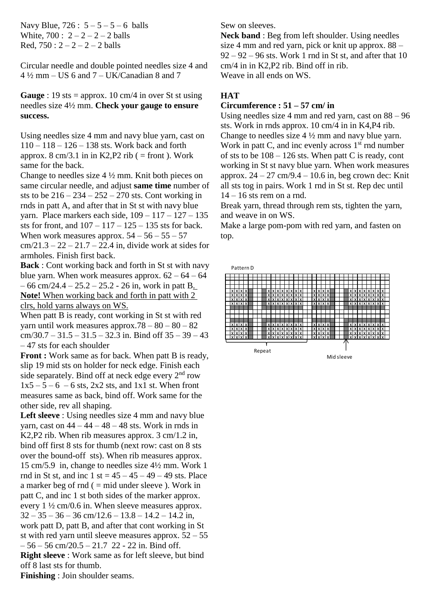Navy Blue,  $726: 5 - 5 - 5 - 6$  balls White,  $700: 2 - 2 - 2 - 2$  balls Red,  $750: 2 - 2 - 2 - 2$  balls

Circular needle and double pointed needles size 4 and  $4\frac{1}{2}$  mm – US 6 and 7 – UK/Canadian 8 and 7

**Gauge** : 19 sts = approx. 10 cm/4 in over St st using needles size 4½ mm. **Check your gauge to ensure success.**

Using needles size 4 mm and navy blue yarn, cast on 110 – 118 – 126 – 138 sts. Work back and forth approx.  $8 \text{ cm}/3.1$  in in K2, P2 rib ( = front ). Work same for the back.

Change to needles size 4 ½ mm. Knit both pieces on same circular needle, and adjust **same time** number of sts to be  $216 - 234 - 252 - 270$  sts. Cont working in rnds in patt A, and after that in St st with navy blue yarn. Place markers each side, 109 – 117 – 127 – 135 sts for front, and  $107 - 117 - 125 - 135$  sts for back. When work measures approx.  $54 - 56 - 55 - 57$  $cm/21.3 - 22 - 21.7 - 22.4$  in, divide work at sides for armholes. Finish first back.

**Back** : Cont working back and forth in St st with navy blue yarn. When work measures approx.  $62 - 64 - 64$  $-66$  cm/24.4  $-25.2 - 25.2 - 26$  in, work in patt B. **Note!** When working back and forth in patt with 2 clrs, hold yarns always on WS.

When patt B is ready, cont working in St st with red yarn until work measures approx.78 – 80 – 80 – 82  $cm/30.7 - 31.5 - 31.5 - 32.3$  in. Bind off  $35 - 39 - 43$ – 47 sts for each shoulder

**Front** : Work same as for back. When patt B is ready, slip 19 mid sts on holder for neck edge. Finish each side separately. Bind off at neck edge every  $2<sup>nd</sup>$  row  $1x5 - 5 - 6 - 6$  sts, 2x2 sts, and 1x1 st. When front measures same as back, bind off. Work same for the other side, rev all shaping.

Left sleeve : Using needles size 4 mm and navy blue varn, cast on  $44 - 44 - 48 - 48$  sts. Work in rnds in K2,P2 rib. When rib measures approx. 3 cm/1.2 in, bind off first 8 sts for thumb (next row: cast on 8 sts over the bound-off sts). When rib measures approx. 15 cm/5.9 in, change to needles size 4½ mm. Work 1 rnd in St st, and inc  $1$  st =  $45 - 45 - 49 - 49$  sts. Place a marker beg of  $rnd (= mid under sleeve)$ . Work in patt C, and inc 1 st both sides of the marker approx. every 1 ½ cm/0.6 in. When sleeve measures approx.  $32 - 35 - 36 - 36$  cm/12.6 – 13.8 – 14.2 – 14.2 in, work patt D, patt B, and after that cont working in St st with red yarn until sleeve measures approx.  $52 - 55$  $-56 - 56$  cm/20.5  $- 21.7$  22 - 22 in. Bind off. **Right sleeve** : Work same as for left sleeve, but bind off 8 last sts for thumb.

Sew on sleeves.

**Neck band** : Beg from left shoulder. Using needles size 4 mm and red yarn, pick or knit up approx. 88 –  $92 - 92 - 96$  sts. Work 1 rnd in St st, and after that 10 cm/4 in in K2,P2 rib. Bind off in rib. Weave in all ends on WS.

# **HAT**

# **Circumference : 51 – 57 cm/ in**

Using needles size 4 mm and red yarn, cast on 88 – 96 sts. Work in rnds approx. 10 cm/4 in in K4,P4 rib. Change to needles size 4 ½ mm and navy blue yarn. Work in patt C, and inc evenly across 1<sup>st</sup> rnd number of sts to be  $108 - 126$  sts. When patt C is ready, cont working in St st navy blue yarn. When work measures approx.  $24 - 27$  cm/9.4 – 10.6 in, beg crown dec: Knit all sts tog in pairs. Work 1 rnd in St st. Rep dec until  $14 - 16$  sts rem on a rnd.

Break yarn, thread through rem sts, tighten the yarn, and weave in on WS.

Make a large pom-pom with red yarn, and fasten on top.



**Finishing** : Join shoulder seams.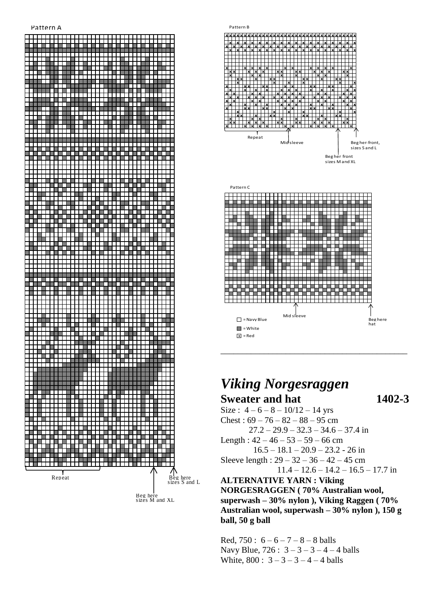#### Pattern A





# *Viking Norgesraggen* **Sweater and hat 1402-3**

Size:  $4 - 6 - 8 - 10/12 - 14$  yrs Chest:  $69 - 76 - 82 - 88 - 95$  cm  $27.2 - 29.9 - 32.3 - 34.6 - 37.4$  in Length :  $42 - 46 - 53 - 59 - 66$  cm  $16.5 - 18.1 - 20.9 - 23.2 - 26$  in Sleeve length :  $29 - 32 - 36 - 42 - 45$  cm  $11.4 - 12.6 - 14.2 - 16.5 - 17.7$  in **ALTERNATIVE YARN : Viking NORGESRAGGEN ( 70% Australian wool, superwash – 30% nylon ), Viking Raggen ( 70% Australian wool, superwash – 30% nylon ), 150 g ball, 50 g ball**

Red,  $750: 6 - 6 - 7 - 8 - 8$  balls Navy Blue,  $726: 3 - 3 - 3 - 4 - 4$  balls White,  $800 : 3 - 3 - 3 - 4 - 4$  balls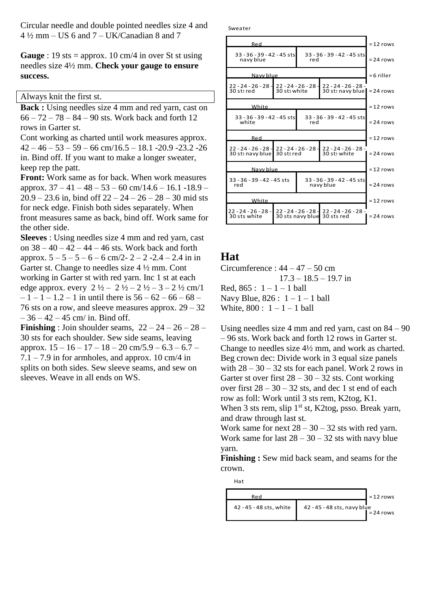Circular needle and double pointed needles size 4 and  $4\frac{1}{2}$  mm – US 6 and 7 – UK/Canadian 8 and 7

**Gauge** : 19 sts = approx. 10 cm/4 in over St st using needles size 4½ mm. **Check your gauge to ensure success.**

Always knit the first st.

**Back** : Using needles size 4 mm and red yarn, cast on  $66 - 72 - 78 - 84 - 90$  sts. Work back and forth 12 rows in Garter st.

Cont working as charted until work measures approx.  $42 - 46 - 53 - 59 - 66$  cm/ $16.5 - 18.1 - 20.9 - 23.2 - 26$ in. Bind off. If you want to make a longer sweater, keep rep the patt.

**Front:** Work same as for back. When work measures approx. 37 – 41 – 48 – 53 – 60 cm/14.6 – 16.1 -18.9 –  $20.9 - 23.6$  in, bind off  $22 - 24 - 26 - 28 - 30$  mid sts for neck edge. Finish both sides separately. When front measures same as back, bind off. Work same for the other side.

**Sleeves** : Using needles size 4 mm and red yarn, cast on 38 – 40 – 42 – 44 – 46 sts. Work back and forth approx.  $5 - 5 - 5 - 6 - 6$  cm/2-  $2 - 2$  -2.4 – 2.4 in in Garter st. Change to needles size 4 ½ mm. Cont working in Garter st with red yarn. Inc 1 st at each edge approx. every  $2 \frac{1}{2} - 2 \frac{1}{2} - 2 \frac{1}{2} - 3 - 2 \frac{1}{2}$  cm/1  $-1 - 1 - 1.2 - 1$  in until there is  $56 - 62 - 66 - 68 - 1$ 76 sts on a row, and sleeve measures approx. 29 – 32  $-36 - 42 - 45$  cm/ in. Bind off.

**Finishing** : Join shoulder seams,  $22 - 24 - 26 - 28$ 30 sts for each shoulder. Sew side seams, leaving approx.  $15 - 16 - 17 - 18 - 20$  cm/5.9 – 6.3 – 6.7 –  $7.1 - 7.9$  in for armholes, and approx. 10 cm/4 in splits on both sides. Sew sleeve seams, and sew on sleeves. Weave in all ends on WS.

Sweater



# **Hat**

Circumference :  $44 - 47 - 50$  cm  $17.3 - 18.5 - 19.7$  in Red,  $865 : 1 - 1 - 1$  ball Navy Blue,  $826: 1 - 1 - 1$  ball White,  $800 : 1 - 1 - 1$  ball

Using needles size 4 mm and red yarn, cast on  $84 - 90$ – 96 sts. Work back and forth 12 rows in Garter st. Change to needles size 4½ mm, and work as charted. Beg crown dec: Divide work in 3 equal size panels with  $28 - 30 - 32$  sts for each panel. Work 2 rows in Garter st over first  $28 - 30 - 32$  sts. Cont working over first  $28 - 30 - 32$  sts, and dec 1 st end of each row as foll: Work until 3 sts rem, K2tog, K1. When 3 sts rem, slip  $1<sup>st</sup>$  st, K2tog, psso. Break yarn, and draw through last st. Work same for next  $28 - 30 - 32$  sts with red yarn.

Work same for last  $28 - 30 - 32$  sts with navy blue yarn.

**Finishing :** Sew mid back seam, and seams for the crown.

Hat

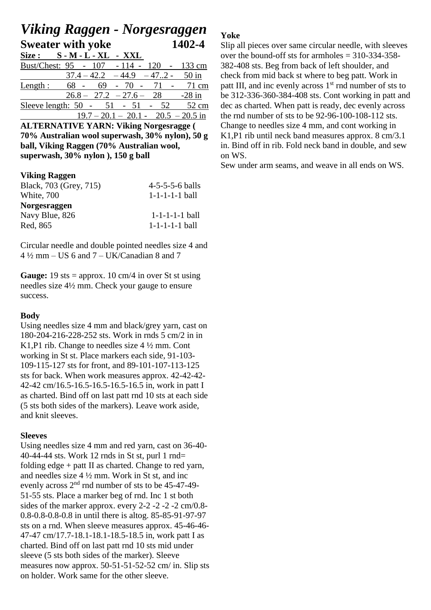# *Viking Raggen - Norgesraggen* **Sweater with yoke 1402-4**

| Size :                                    |      | $S - M - L - XL - XXL$                |  |         |
|-------------------------------------------|------|---------------------------------------|--|---------|
| Bust/Chest: 95 - 107 - 114 - 120 - 133 cm |      |                                       |  |         |
|                                           |      | $37.4 - 42.2 - 44.9 - 47.2$           |  | $50$ in |
| Length:                                   | 68 - | $69 - 70 - 71 -$                      |  | 71 cm   |
|                                           |      | $26.8 - 27.2 - 27.6 - 28$ -28 in      |  |         |
| Sleeve length: $50 - 51 - 51 - 52$        |      |                                       |  | 52 cm   |
|                                           |      | $19.7 - 20.1 - 20.1 - 20.5 - 20.5$ in |  |         |

**ALTERNATIVE YARN: Viking Norgesragge ( 70% Australian wool superwash, 30% nylon), 50 g ball, Viking Raggen (70% Australian wool, superwash, 30% nylon ), 150 g ball**

#### **Viking Raggen**

| Black, 703 (Grey, 715) | $4 - 5 - 5 - 5 - 6$ balls |
|------------------------|---------------------------|
| White, 700             | $1 - 1 - 1 - 1 - 1$ ball  |
| <b>Norgesraggen</b>    |                           |
| Navy Blue, 826         | $1 - 1 - 1 - 1 - 1$ ball  |
| Red, 865               | $1 - 1 - 1 - 1 - 1$ ball  |

Circular needle and double pointed needles size 4 and  $4\frac{1}{2}$  mm – US 6 and 7 – UK/Canadian 8 and 7

**Gauge:** 19 sts = approx. 10 cm/4 in over St st using needles size 4½ mm. Check your gauge to ensure success.

#### **Body**

Using needles size 4 mm and black/grey yarn, cast on 180-204-216-228-252 sts. Work in rnds 5 cm/2 in in K1,P1 rib. Change to needles size 4 ½ mm. Cont working in St st. Place markers each side, 91-103- 109-115-127 sts for front, and 89-101-107-113-125 sts for back. When work measures approx. 42-42-42- 42-42 cm/16.5-16.5-16.5-16.5-16.5 in, work in patt I as charted. Bind off on last patt rnd 10 sts at each side (5 sts both sides of the markers). Leave work aside, and knit sleeves.

# **Sleeves**

Using needles size 4 mm and red yarn, cast on 36-40- 40-44-44 sts. Work 12 rnds in St st, purl 1 rnd= folding edge + patt II as charted. Change to red yarn, and needles size 4 ½ mm. Work in St st, and inc evenly across  $2<sup>nd</sup>$  rnd number of sts to be 45-47-49-51-55 sts. Place a marker beg of rnd. Inc 1 st both sides of the marker approx. every 2-2 -2 -2 -2 cm/0.8- 0.8-0.8-0.8-0.8 in until there is altog. 85-85-91-97-97 sts on a rnd. When sleeve measures approx. 45-46-46- 47-47 cm/17.7-18.1-18.1-18.5-18.5 in, work patt I as charted. Bind off on last patt rnd 10 sts mid under sleeve (5 sts both sides of the marker). Sleeve measures now approx. 50-51-51-52-52 cm/ in. Slip sts on holder. Work same for the other sleeve.

# **Yoke**

Slip all pieces over same circular needle, with sleeves over the bound-off sts for armholes  $= 310-334-358-$ 382-408 sts. Beg from back of left shoulder, and check from mid back st where to beg patt. Work in patt III, and inc evenly across 1<sup>st</sup> rnd number of sts to be 312-336-360-384-408 sts. Cont working in patt and dec as charted. When patt is ready, dec evenly across the rnd number of sts to be 92-96-100-108-112 sts. Change to needles size 4 mm, and cont working in K1,P1 rib until neck band measures approx. 8 cm/3.1 in. Bind off in rib. Fold neck band in double, and sew on WS.

Sew under arm seams, and weave in all ends on WS.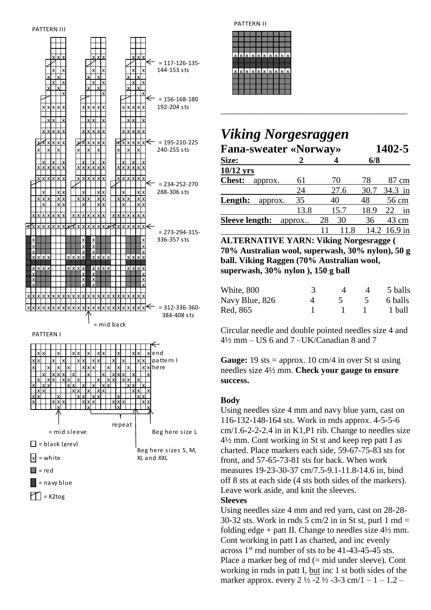



PATTERN II

| xlxlxlxlxlxlxlxlx |  |  |  |  |
|-------------------|--|--|--|--|
| xlxlxlxlxlxlxlxlx |  |  |  |  |
|                   |  |  |  |  |
|                   |  |  |  |  |

# *Viking Norgesraggen*

| <b>Fana-sweater «Norway»</b> |        |          | 1402-5 |              |  |  |  |
|------------------------------|--------|----------|--------|--------------|--|--|--|
| Size:                        |        |          | 6/8    |              |  |  |  |
| $10/12$ yrs                  |        |          |        |              |  |  |  |
| <b>Chest:</b><br>approx.     | 61     | 70       | 78     | 87 cm        |  |  |  |
|                              | 24     | 27.6     | 30.7   | 34.3 in      |  |  |  |
| Length:<br>approx.           | 35     | 40       | 48     | 56 cm        |  |  |  |
|                              | 13.8   | 15.7     | 18.9   | in<br>22     |  |  |  |
| <b>Sleeve length:</b>        | approx | 30<br>28 | 36     | 43 cm        |  |  |  |
|                              |        | 11.8     |        | 14.2 16.9 in |  |  |  |

\_\_\_\_\_\_\_\_\_\_\_\_\_\_\_\_\_\_\_\_\_\_\_\_\_\_\_\_\_\_\_\_\_\_\_\_\_\_\_\_\_\_\_

**ALTERNATIVE YARN: Viking Norgesragge ( 70% Australian wool, superwash, 30% nylon), 50 g ball. Viking Raggen (70% Australian wool, superwash, 30% nylon ), 150 g ball**

| White, 800     |  | 5 balls |
|----------------|--|---------|
| Navy Blue, 826 |  | 6 balls |
| Red. 865       |  | 1 ball  |

Circular needle and double pointed needles size 4 and 4½ mm – US 6 and 7 –UK/Canadian 8 and 7

**Gauge:** 19 sts = approx. 10 cm/4 in over St st using needles size 4½ mm. **Check your gauge to ensure success.**

# **Body**

Using needles size 4 mm and navy blue yarn, cast on 116-132-148-164 sts. Work in rnds approx. 4-5-5-6  $cm/1.6$ -2-2-2.4 in in K1,P1 rib. Change to needles size 4½ mm. Cont working in St st and keep rep patt I as charted. Place markers each side, 59-67-75-83 sts for front, and 57-65-73-81 sts for back. When work measures 19-23-30-37 cm/7.5-9.1-11.8-14.6 in, bind off 8 sts at each side (4 sts both sides of the markers). Leave work aside, and knit the sleeves.

#### **Sleeves**

Using needles size 4 mm and red yarn, cast on 28-28-  $30-32$  sts. Work in rnds  $5 \text{ cm}/2$  in in St st, purl 1 rnd = folding edge + patt II. Change to needles size  $4\frac{1}{2}$  mm. Cont working in patt I as charted, and inc evenly across  $1<sup>st</sup>$  rnd number of sts to be 41-43-45-45 sts. Place a marker beg of rnd (= mid under sleeve). Cont working in rnds in patt I, but inc 1 st both sides of the marker approx. every  $2 \frac{1}{2} - 2 \frac{1}{2} - 3 - 3$  cm/1 – 1 – 1.2 –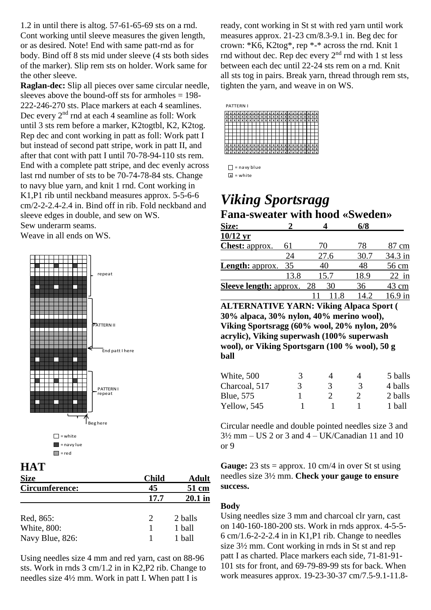1.2 in until there is altog. 57-61-65-69 sts on a rnd. Cont working until sleeve measures the given length, or as desired. Note! End with same patt-rnd as for body. Bind off 8 sts mid under sleeve (4 sts both sides of the marker). Slip rem sts on holder. Work same for the other sleeve.

**Raglan-dec:** Slip all pieces over same circular needle, sleeves above the bound-off sts for armholes  $= 198$ -222-246-270 sts. Place markers at each 4 seamlines. Dec every  $2<sup>nd</sup>$  rnd at each 4 seamline as foll: Work until 3 sts rem before a marker, K2togtbl, K2, K2tog. Rep dec and cont working in patt as foll: Work patt I but instead of second patt stripe, work in patt II, and after that cont with patt I until 70-78-94-110 sts rem. End with a complete patt stripe, and dec evenly across last rnd number of sts to be 70-74-78-84 sts. Change to navy blue yarn, and knit 1 rnd. Cont working in K1,P1 rib until neckband measures approx. 5-5-6-6 cm/2-2-2.4-2.4 in. Bind off in rib. Fold neckband and sleeve edges in double, and sew on WS. Sew underarm seams.

Weave in all ends on WS.



# **HAT**

| <b>Size</b>        | <b>Child</b>  | <b>Adult</b> |
|--------------------|---------------|--------------|
| Circumference:     | 45            | 51 cm        |
|                    | 17.7          | 20.1 in      |
|                    |               |              |
| Red, 865:          | $\mathcal{D}$ | 2 balls      |
| <b>White, 800:</b> |               | 1 ball       |
| Navy Blue, 826:    |               | 1 ball       |

Using needles size 4 mm and red yarn, cast on 88-96 sts. Work in rnds 3 cm/1.2 in in K2,P2 rib. Change to needles size 4½ mm. Work in patt I. When patt I is

ready, cont working in St st with red yarn until work measures approx. 21-23 cm/8.3-9.1 in. Beg dec for crown: \*K6, K2tog\*, rep \*-\* across the rnd. Knit 1 rnd without dec. Rep dec every  $2<sup>nd</sup>$  rnd with 1 st less between each dec until 22-24 sts rem on a rnd. Knit all sts tog in pairs. Break yarn, thread through rem sts, tighten the yarn, and weave in on WS.

|              |  |  | PATTERN I             |  |  |  |                     |   |  |  |  |  |                 |
|--------------|--|--|-----------------------|--|--|--|---------------------|---|--|--|--|--|-----------------|
|              |  |  | <b>XXXXXXXXXXXXX</b>  |  |  |  |                     | x |  |  |  |  | <b>XXX</b>      |
| $\mathbf{x}$ |  |  | xlxlxlxlxlxlxlxlxlxlx |  |  |  |                     |   |  |  |  |  | <b>xxxxxx</b>   |
| $\mathbf{x}$ |  |  |                       |  |  |  |                     |   |  |  |  |  | $x \times x$    |
|              |  |  |                       |  |  |  |                     |   |  |  |  |  |                 |
|              |  |  |                       |  |  |  |                     |   |  |  |  |  |                 |
|              |  |  |                       |  |  |  |                     |   |  |  |  |  |                 |
|              |  |  |                       |  |  |  |                     |   |  |  |  |  |                 |
|              |  |  |                       |  |  |  |                     |   |  |  |  |  |                 |
|              |  |  |                       |  |  |  |                     |   |  |  |  |  |                 |
|              |  |  |                       |  |  |  |                     |   |  |  |  |  | <b>x</b> x      |
| X            |  |  |                       |  |  |  |                     |   |  |  |  |  | <b>xixixixi</b> |
|              |  |  |                       |  |  |  | <u>Iviviviviviv</u> |   |  |  |  |  | <b>x</b> x x    |

 $\Box$  = naw blue

 $x =$  white

# *Viking Sportsragg* **Fana-sweater with hood «Sweden»**

| Size:                                    |      |          | 6/8  |           |
|------------------------------------------|------|----------|------|-----------|
| $10/12$ yr                               |      |          |      |           |
| <b>Chest:</b> approx.                    | 61   | 70       | 78   | 87 cm     |
|                                          | 24   | 27.6     | 30.7 | 34.3 in   |
| <b>Length: approx.</b>                   | 35   | 40       | 48   | 56 cm     |
|                                          | 13.8 | 15.7     | 18.9 | $22$ in   |
| <b>Sleeve length: approx.</b>            |      | 30<br>28 | 36   | 43 cm     |
|                                          |      | 11.8     | 14.2 | $16.9$ in |
| AI TEDNATIVE VADN. Viking Alpaca Sport ( |      |          |      |           |

**ALTERNATIVE YARN: Viking Alpaca Sport ( 30% alpaca, 30% nylon, 40% merino wool), Viking Sportsragg (60% wool, 20% nylon, 20% acrylic), Viking superwash (100% superwash wool), or Viking Sportsgarn (100 % wool), 50 g ball**

| 3 |   |   | 5 balls |
|---|---|---|---------|
| 3 | 3 | 3 | 4 balls |
|   |   |   | 2 balls |
|   |   |   | 1 ball  |
|   |   |   |         |

Circular needle and double pointed needles size 3 and  $3\frac{1}{2}$  mm – US 2 or 3 and 4 – UK/Canadian 11 and 10 or 9

**Gauge:** 23 sts = approx. 10 cm/4 in over St st using needles size 3½ mm. **Check your gauge to ensure success.** 

# **Body**

Using needles size 3 mm and charcoal clr yarn, cast on 140-160-180-200 sts. Work in rnds approx. 4-5-5- 6 cm/1.6-2-2-2.4 in in K1,P1 rib. Change to needles size 3½ mm. Cont working in rnds in St st and rep patt I as charted. Place markers each side, 71-81-91- 101 sts for front, and 69-79-89-99 sts for back. When work measures approx. 19-23-30-37 cm/7.5-9.1-11.8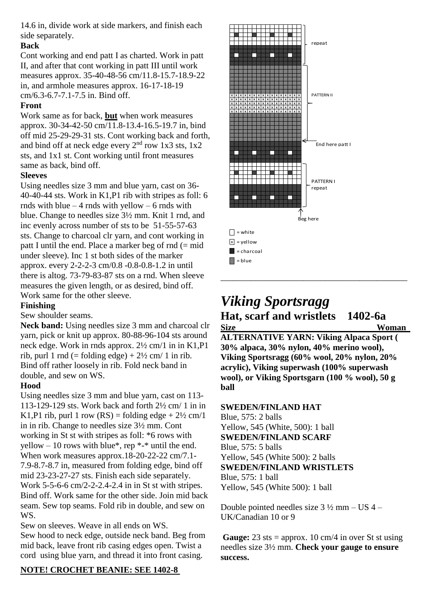14.6 in, divide work at side markers, and finish each side separately.

# **Back**

Cont working and end patt I as charted. Work in patt II, and after that cont working in patt III until work measures approx. 35-40-48-56 cm/11.8-15.7-18.9-22 in, and armhole measures approx. 16-17-18-19 cm/6.3-6.7-7.1-7.5 in. Bind off.

# **Front**

Work same as for back, **but** when work measures approx. 30-34-42-50 cm/11.8-13.4-16.5-19.7 in, bind off mid 25-29-29-31 sts. Cont working back and forth, and bind off at neck edge every  $2<sup>nd</sup>$  row 1x3 sts, 1x2 sts, and 1x1 st. Cont working until front measures same as back, bind off.

# **Sleeves**

Using needles size 3 mm and blue yarn, cast on 36- 40-40-44 sts. Work in K1,P1 rib with stripes as foll: 6 rnds with blue  $-4$  rnds with yellow  $-6$  rnds with blue. Change to needles size 3½ mm. Knit 1 rnd, and inc evenly across number of sts to be 51-55-57-63 sts. Change to charcoal clr yarn, and cont working in patt I until the end. Place a marker beg of rnd  $(= mid$ under sleeve). Inc 1 st both sides of the marker approx. every 2-2-2-3 cm/0.8 -0.8-0.8-1.2 in until there is altog. 73-79-83-87 sts on a rnd. When sleeve measures the given length, or as desired, bind off. Work same for the other sleeve.

# **Finishing**

# Sew shoulder seams.

**Neck band:** Using needles size 3 mm and charcoal clr yarn, pick or knit up approx. 80-88-96-104 sts around neck edge. Work in rnds approx. 2½ cm/1 in in K1,P1 rib, purl 1 rnd (= folding edge) +  $2\frac{1}{2}$  cm/ 1 in rib. Bind off rather loosely in rib. Fold neck band in double, and sew on WS.

# **Hood**

Using needles size 3 mm and blue yarn, cast on 113- 113-129-129 sts. Work back and forth 2½ cm/ 1 in in K1,P1 rib, purl 1 row  $(RS) =$  folding edge +  $2\frac{1}{2}$  cm/1 in in rib. Change to needles size 3½ mm. Cont working in St st with stripes as foll: \*6 rows with yellow – 10 rows with blue\*, rep  $*$ -\* until the end. When work measures approx.18-20-22-22 cm/7.1- 7.9-8.7-8.7 in, measured from folding edge, bind off mid 23-23-27-27 sts. Finish each side separately. Work 5-5-6-6 cm/2-2-2.4-2.4 in in St st with stripes. Bind off. Work same for the other side. Join mid back seam. Sew top seams. Fold rib in double, and sew on WS.

Sew on sleeves. Weave in all ends on WS. Sew hood to neck edge, outside neck band. Beg from mid back, leave front rib casing edges open. Twist a cord using blue yarn, and thread it into front casing.

# **NOTE! CROCHET BEANIE: SEE 1402-8**



# *Viking Sportsragg* **Hat, scarf and wristlets 1402-6a Size Woman**

**ALTERNATIVE YARN: Viking Alpaca Sport ( 30% alpaca, 30% nylon, 40% merino wool), Viking Sportsragg (60% wool, 20% nylon, 20% acrylic), Viking superwash (100% superwash wool), or Viking Sportsgarn (100 % wool), 50 g ball**

# **SWEDEN/FINLAND HAT**

Blue, 575: 2 balls Yellow, 545 (White, 500): 1 ball **SWEDEN/FINLAND SCARF** Blue, 575: 5 balls Yellow, 545 (White 500): 2 balls **SWEDEN/FINLAND WRISTLETS** Blue, 575: 1 ball Yellow, 545 (White 500): 1 ball

Double pointed needles size 3 ½ mm – US 4 – UK/Canadian 10 or 9

**Gauge:**  $23$  sts = approx. 10 cm/4 in over St st using needles size 3½ mm. **Check your gauge to ensure success.**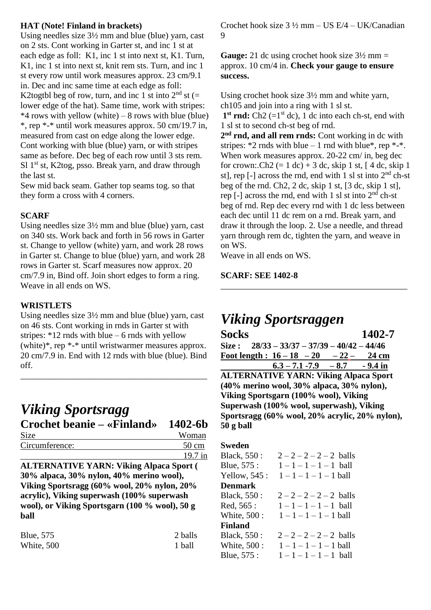# **HAT (Note! Finland in brackets)**

Using needles size 3½ mm and blue (blue) yarn, cast on 2 sts. Cont working in Garter st, and inc 1 st at each edge as foll: K1, inc 1 st into next st, K1. Turn, K1, inc 1 st into next st, knit rem sts. Turn, and inc 1 st every row until work measures approx. 23 cm/9.1 in. Dec and inc same time at each edge as foll: K2togtbl beg of row, turn, and inc 1 st into  $2<sup>nd</sup>$  st (= lower edge of the hat). Same time, work with stripes:  $*4$  rows with yellow (white) – 8 rows with blue (blue) \*, rep \*-\* until work measures approx. 50 cm/19.7 in, measured from cast on edge along the lower edge. Cont working with blue (blue) yarn, or with stripes same as before. Dec beg of each row until 3 sts rem. Sl  $1<sup>st</sup>$  st, K2tog, psso. Break yarn, and draw through the last st.

Sew mid back seam. Gather top seams tog. so that they form a cross with 4 corners.

# **SCARF**

Using needles size 3½ mm and blue (blue) yarn, cast on 340 sts. Work back and forth in 56 rows in Garter st. Change to yellow (white) yarn, and work 28 rows in Garter st. Change to blue (blue) yarn, and work 28 rows in Garter st. Scarf measures now approx. 20 cm/7.9 in, Bind off. Join short edges to form a ring. Weave in all ends on WS.

### **WRISTLETS**

Using needles size 3½ mm and blue (blue) yarn, cast on 46 sts. Cont working in rnds in Garter st with stripes:  $*12$  rnds with blue – 6 rnds with yellow (white)\*, rep \*-\* until wristwarmer measures approx. 20 cm/7.9 in. End with 12 rnds with blue (blue). Bind off.

\_\_\_\_\_\_\_\_\_\_\_\_\_\_\_\_\_\_\_\_\_\_\_\_\_\_\_\_\_\_\_\_\_\_\_\_\_\_\_\_\_\_\_

# *Viking Sportsragg*

# **Crochet beanie – «Finland» 1402-6b**  Size Woman Circumference:

| Woman   |
|---------|
| 50 cm   |
| 19.7 in |

**ALTERNATIVE YARN: Viking Alpaca Sport ( 30% alpaca, 30% nylon, 40% merino wool), Viking Sportsragg (60% wool, 20% nylon, 20% acrylic), Viking superwash (100% superwash wool), or Viking Sportsgarn (100 % wool), 50 g ball**

| <b>Blue, 575</b> | 2 balls |
|------------------|---------|
| White, 500       | 1 ball  |

Crochet hook size 3 ½ mm – US E/4 – UK/Canadian 9

**Gauge:** 21 dc using crochet hook size 3½ mm = approx. 10 cm/4 in. **Check your gauge to ensure success.**

Using crochet hook size 3½ mm and white yarn, ch105 and join into a ring with 1 sl st.  $1<sup>st</sup>$  **rnd:** Ch2 (= $1<sup>st</sup>$  dc), 1 dc into each ch-st, end with

1 sl st to second ch-st beg of rnd.

**2 nd rnd, and all rem rnds:** Cont working in dc with stripes:  $*2$  rnds with blue – 1 rnd with blue $*$ , rep  $*-*$ . When work measures approx. 20-22 cm/ in, beg dec for crown:.Ch2  $(= 1 \text{ dc}) + 3 \text{ dc}$ , skip 1 st,  $[4 \text{ dc}, \text{skip} 1]$ st], rep  $[-]$  across the rnd, end with 1 sl st into  $2<sup>nd</sup>$  ch-st beg of the rnd. Ch2, 2 dc, skip 1 st, [3 dc, skip 1 st], rep  $[-]$  across the rnd, end with 1 sl st into  $2<sup>nd</sup>$  ch-st beg of rnd. Rep dec every rnd with 1 dc less between each dec until 11 dc rem on a rnd. Break yarn, and draw it through the loop. 2. Use a needle, and thread yarn through rem dc, tighten the yarn, and weave in on WS.

Weave in all ends on WS.

### **SCARF: SEE 1402-8**

# *Viking Sportsraggen*

**Socks 1402-7 Size : 28/33 – 33/37 – 37/39 – 40/42 – 44/46 Foot length : 16 – 18 – 20 – 22 – 24 cm**  $6.3 - 7.1 - 7.9 - 8.7 - 9.4$  in

\_\_\_\_\_\_\_\_\_\_\_\_\_\_\_\_\_\_\_\_\_\_\_\_\_\_\_\_\_\_\_\_\_\_\_\_\_\_\_\_\_\_\_

**ALTERNATIVE YARN: Viking Alpaca Sport (40% merino wool, 30% alpaca, 30% nylon), Viking Sportsgarn (100% wool), Viking Superwash (100% wool, superwash), Viking Sportsragg (60% wool, 20% acrylic, 20% nylon), 50 g ball**

#### **Sweden**

Black,  $550: \quad 2 - 2 - 2 - 2 - 2$  balls Blue,  $575: 1 - 1 - 1 - 1 - 1$  ball Yellow,  $545: 1 - 1 - 1 - 1 - 1$  ball **Denmark** Black, 550 :  $2-2-2-2-2$  balls Red,  $565: 1 - 1 - 1 - 1 - 1$  ball White,  $500: 1 - 1 - 1 - 1 - 1$  ball **Finland** Black, 550 :  $2-2-2-2$  balls White,  $500: 1 - 1 - 1 - 1 - 1$  ball Blue,  $575: 1 - 1 - 1 - 1 - 1$  ball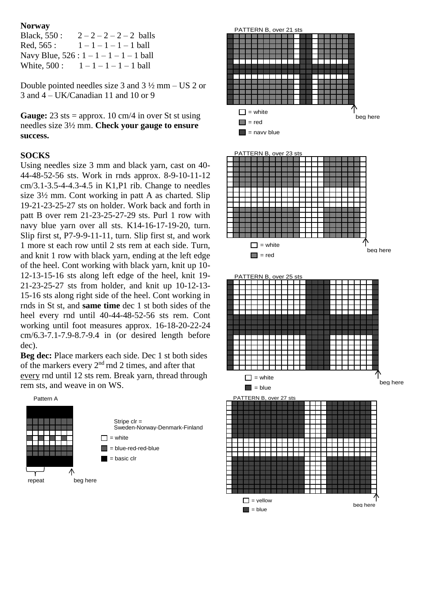#### **Norway**

| Black, 550 : | $2-2-2-2$ balls                          |
|--------------|------------------------------------------|
| Red, 565 :   | $1-1-1-1-1$ ball                         |
|              | Navy Blue, $526: 1 - 1 - 1 - 1 - 1$ ball |
| White, 500 : | $1-1-1-1-1$ ball                         |

Double pointed needles size 3 and 3 ½ mm – US 2 or 3 and 4 – UK/Canadian 11 and 10 or 9

**Gauge:**  $23$  sts = approx. 10 cm/4 in over St st using needles size 3½ mm. **Check your gauge to ensure success.** 

#### **SOCKS**

Using needles size 3 mm and black yarn, cast on 40- 44-48-52-56 sts. Work in rnds approx. 8-9-10-11-12 cm/3.1-3.5-4-4.3-4.5 in K1,P1 rib. Change to needles size 3½ mm. Cont working in patt A as charted. Slip 19-21-23-25-27 sts on holder. Work back and forth in patt B over rem 21-23-25-27-29 sts. Purl 1 row with navy blue yarn over all sts. K14-16-17-19-20, turn. Slip first st, P7-9-9-11-11, turn. Slip first st, and work 1 more st each row until 2 sts rem at each side. Turn, and knit 1 row with black yarn, ending at the left edge of the heel. Cont working with black yarn, knit up 10- 12-13-15-16 sts along left edge of the heel, knit 19- 21-23-25-27 sts from holder, and knit up 10-12-13- 15-16 sts along right side of the heel. Cont working in rnds in St st, and **same time** dec 1 st both sides of the heel every rnd until 40-44-48-52-56 sts rem. Cont working until foot measures approx. 16-18-20-22-24 cm/6.3-7.1-7.9-8.7-9.4 in (or desired length before dec).

**Beg dec:** Place markers each side. Dec 1 st both sides of the markers every 2nd rnd 2 times, and after that every rnd until 12 sts rem. Break yarn, thread through rem sts, and weave in on WS.



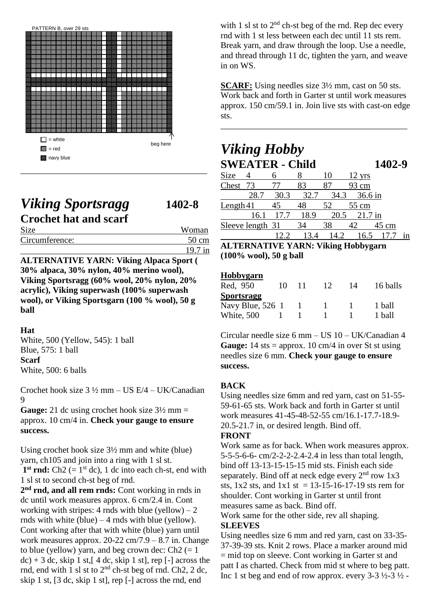

# *Viking Sportsragg* **1402-8 Crochet hat and scarf**

| <b>Size</b>    | Woman           |
|----------------|-----------------|
| Circumference: | $50 \text{ cm}$ |
|                | $19.7$ in       |

**ALTERNATIVE YARN: Viking Alpaca Sport ( 30% alpaca, 30% nylon, 40% merino wool), Viking Sportsragg (60% wool, 20% nylon, 20% acrylic), Viking superwash (100% superwash wool), or Viking Sportsgarn (100 % wool), 50 g ball**

# **Hat**

White, 500 (Yellow, 545): 1 ball Blue, 575: 1 ball **Scarf** White, 500: 6 balls

Crochet hook size 3 ½ mm – US E/4 – UK/Canadian 9

**Gauge:** 21 dc using crochet hook size 3½ mm = approx. 10 cm/4 in. **Check your gauge to ensure success.** 

Using crochet hook size 3½ mm and white (blue) yarn, ch105 and join into a ring with 1 sl st.  $1<sup>st</sup>$  **rnd:** Ch2 (=  $1<sup>st</sup>$  dc), 1 dc into each ch-st, end with 1 sl st to second ch-st beg of rnd.

**2 nd rnd, and all rem rnds:** Cont working in rnds in dc until work measures approx. 6 cm/2.4 in. Cont working with stripes: 4 rnds with blue (yellow)  $-2$ rnds with white  $(blue) - 4$  rnds with blue (yellow). Cont working after that with white (blue) yarn until work measures approx.  $20-22$  cm/7.9 – 8.7 in. Change to blue (yellow) yarn, and beg crown dec:  $Ch2 (= 1)$  $dc$ ) + 3 dc, skip 1 st,  $\lceil 4 \, \text{dc} \rceil$ , skip 1 st, rep  $\lceil - \rceil$  across the rnd, end with 1 sl st to  $2<sup>nd</sup>$  ch-st beg of rnd. Ch2, 2 dc, skip 1 st, [3 dc, skip 1 st], rep [-] across the rnd, end

with 1 sl st to  $2<sup>nd</sup>$  ch-st beg of the rnd. Rep dec every rnd with 1 st less between each dec until 11 sts rem. Break yarn, and draw through the loop. Use a needle, and thread through 11 dc, tighten the yarn, and weave in on WS.

**SCARF:** Using needles size  $3\frac{1}{2}$  mm, cast on 50 sts. Work back and forth in Garter st until work measures approx. 150 cm/59.1 in. Join live sts with cast-on edge sts.

\_\_\_\_\_\_\_\_\_\_\_\_\_\_\_\_\_\_\_\_\_\_\_\_\_\_\_\_\_\_\_\_\_\_\_\_\_\_\_\_\_\_\_

# *Viking Hobby* **SWEATER - Child 1402-9**

| Size        |                  |                       |      |      | $12 \text{ yrs}$ |                 |    |
|-------------|------------------|-----------------------|------|------|------------------|-----------------|----|
| Chest 73    |                  |                       | 83   |      | 93 cm            |                 |    |
|             | 28.7             | 30.3                  | 32.7 | 34.3 | 36.6 in          |                 |    |
| Length $41$ |                  | 45                    |      |      | 55 cm            |                 |    |
|             | 16.1             | $\lfloor t/2 \rfloor$ | 18.9 | 20.5 | $21.7$ in        |                 |    |
|             | Sleeve length 31 |                       | 34   | 38   |                  | $45 \text{ cm}$ |    |
|             |                  |                       |      |      |                  |                 | ın |

**ALTERNATIVE YARN: Viking Hobbygarn (100% wool), 50 g ball**

### **Hobbygarn**

| Red, 950          | 10 | 11 | 12 | 14 | 16 balls |
|-------------------|----|----|----|----|----------|
| <b>Sportsragg</b> |    |    |    |    |          |
| Navy Blue, 526 1  |    |    |    |    | 1 ball   |
| White, 500        |    |    |    |    | 1 ball   |

Circular needle size 6 mm – US 10 – UK/Canadian 4 **Gauge:**  $14$  sts = approx.  $10 \text{ cm}/4$  in over St st using needles size 6 mm. **Check your gauge to ensure success.** 

# **BACK**

Using needles size 6mm and red yarn, cast on 51-55- 59-61-65 sts. Work back and forth in Garter st until work measures 41-45-48-52-55 cm/16.1-17.7-18.9- 20.5-21.7 in, or desired length. Bind off.

# **FRONT**

Work same as for back. When work measures approx. 5-5-5-6-6- cm/2-2-2-2.4-2.4 in less than total length, bind off 13-13-15-15-15 mid sts. Finish each side separately. Bind off at neck edge every  $2<sup>nd</sup>$  row  $1x3$ sts,  $1x2$  sts, and  $1x1$  st = 13-15-16-17-19 sts rem for shoulder. Cont working in Garter st until front measures same as back. Bind off.

Work same for the other side, rev all shaping.

# **SLEEVES**

Using needles size 6 mm and red yarn, cast on 33-35- 37-39-39 sts. Knit 2 rows. Place a marker around mid = mid top on sleeve. Cont working in Garter st and patt I as charted. Check from mid st where to beg patt. Inc 1 st beg and end of row approx. every  $3-3\frac{1}{2}-3\frac{1}{2}$ .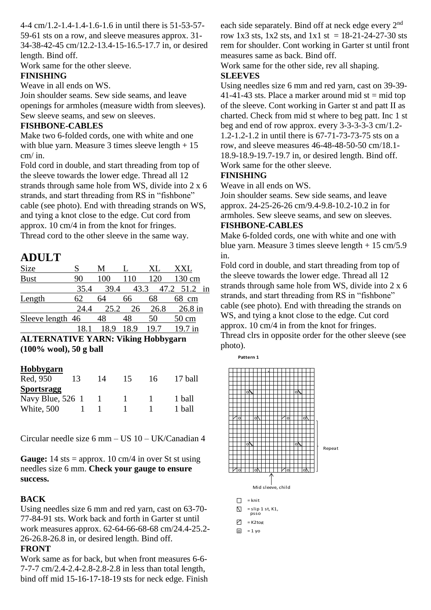4-4 cm/1.2-1.4-1.4-1.6-1.6 in until there is 51-53-57-

59-61 sts on a row, and sleeve measures approx. 31- 34-38-42-45 cm/12.2-13.4-15-16.5-17.7 in, or desired length. Bind off.

Work same for the other sleeve.

# **FINISHING**

Weave in all ends on WS.

Join shoulder seams. Sew side seams, and leave openings for armholes (measure width from sleeves). Sew sleeve seams, and sew on sleeves.

# **FISHBONE-CABLES**

Make two 6-folded cords, one with white and one with blue yarn. Measure 3 times sleeve length  $+15$ cm/ in.

Fold cord in double, and start threading from top of the sleeve towards the lower edge. Thread all 12 strands through same hole from WS, divide into 2 x 6 strands, and start threading from RS in "fishbone" cable (see photo). End with threading strands on WS, and tying a knot close to the edge. Cut cord from approx. 10 cm/4 in from the knot for fringes. Thread cord to the other sleeve in the same way.

# **ADULT**

| Size             |      | M    |      |      | XXI.       |
|------------------|------|------|------|------|------------|
| <b>Bust</b>      | 90   |      |      |      | 130 cm     |
|                  | 35.4 | 39.4 | 43.3 | 47.2 | 51.2<br>in |
| Length           | 62   | 64   | 66   | 68   | 68<br>cm   |
|                  | 24.4 | 25.2 | 26   | 26.8 | 26.8 in    |
| Sleeve length 46 |      | 48   | 48   | 50   | 50 cm      |
|                  |      |      |      |      | in         |

**ALTERNATIVE YARN: Viking Hobbygarn (100% wool), 50 g ball**

# **Hobbygarn**

| Red, 950           | 13 | 14 | 15 | 16 | 17 ball |
|--------------------|----|----|----|----|---------|
| <b>Sportsragg</b>  |    |    |    |    |         |
| Navy Blue, $526$ 1 |    |    |    |    | 1 ball  |
| White, 500         |    |    |    |    | 1 ball  |

Circular needle size 6 mm – US 10 – UK/Canadian 4

**Gauge:**  $14$  sts = approx.  $10 \text{ cm}/4$  in over St st using needles size 6 mm. **Check your gauge to ensure success.** 

# **BACK**

Using needles size 6 mm and red yarn, cast on 63-70- 77-84-91 sts. Work back and forth in Garter st until work measures approx. 62-64-66-68-68 cm/24.4-25.2- 26-26.8-26.8 in, or desired length. Bind off.

#### **FRONT**

Work same as for back, but when front measures 6-6- 7-7-7 cm/2.4-2.4-2.8-2.8-2.8 in less than total length, bind off mid 15-16-17-18-19 sts for neck edge. Finish each side separately. Bind off at neck edge every  $2<sup>nd</sup>$ row 1x3 sts, 1x2 sts, and 1x1 st =  $18-21-24-27-30$  sts rem for shoulder. Cont working in Garter st until front measures same as back. Bind off.

Work same for the other side, rev all shaping.

# **SLEEVES**

Using needles size 6 mm and red yarn, cast on 39-39- 41-41-43 sts. Place a marker around mid st = mid top of the sleeve. Cont working in Garter st and patt II as charted. Check from mid st where to beg patt. Inc 1 st beg and end of row approx. every 3-3-3-3-3 cm/1.2- 1.2-1.2-1.2 in until there is 67-71-73-73-75 sts on a row, and sleeve measures 46-48-48-50-50 cm/18.1- 18.9-18.9-19.7-19.7 in, or desired length. Bind off. Work same for the other sleeve.

### **FINISHING**

Weave in all ends on WS.

Join shoulder seams. Sew side seams, and leave approx. 24-25-26-26 cm/9.4-9.8-10.2-10.2 in for armholes. Sew sleeve seams, and sew on sleeves. **FISHBONE-CABLES**

Make 6-folded cords, one with white and one with blue yarn. Measure 3 times sleeve length + 15 cm/5.9 in.

Fold cord in double, and start threading from top of the sleeve towards the lower edge. Thread all 12 strands through same hole from WS, divide into 2 x 6 strands, and start threading from RS in "fishbone" cable (see photo). End with threading the strands on WS, and tying a knot close to the edge. Cut cord approx. 10 cm/4 in from the knot for fringes. Thread clrs in opposite order for the other sleeve (see photo).

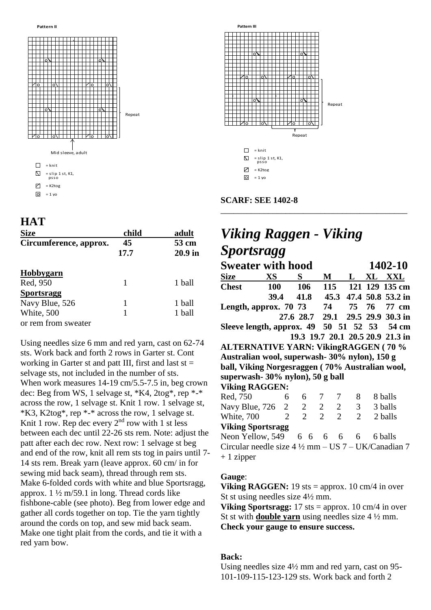



# **HAT**

| <b>Size</b>            | child      | adult              |
|------------------------|------------|--------------------|
| Circumference, approx. | 45<br>17.7 | 53 cm<br>$20.9$ in |
| Hobbygarn              |            |                    |
| Red, 950               |            | 1 ball             |
| <b>Sportsragg</b>      |            |                    |
| Navy Blue, 526         | 1          | 1 ball             |
| White, 500             |            | 1 ball             |
| or rem from sweater    |            |                    |

Using needles size 6 mm and red yarn, cast on 62-74 sts. Work back and forth 2 rows in Garter st. Cont working in Garter st and patt III, first and last  $st =$ selvage sts, not included in the number of sts. When work measures 14-19 cm/5.5-7.5 in, beg crown dec: Beg from WS, 1 selvage st, \*K4, 2tog\*, rep \*-\* across the row, 1 selvage st. Knit 1 row. 1 selvage st, \*K3, K2tog\*, rep \*-\* across the row, 1 selvage st. Knit 1 row. Rep dec every  $2<sup>nd</sup>$  row with 1 st less between each dec until 22-26 sts rem. Note: adjust the patt after each dec row. Next row: 1 selvage st beg and end of the row, knit all rem sts tog in pairs until 7- 14 sts rem. Break yarn (leave approx. 60 cm/ in for sewing mid back seam), thread through rem sts. Make 6-folded cords with white and blue Sportsragg, approx.  $1\frac{1}{2}$  m/59.1 in long. Thread cords like fishbone-cable (see photo). Beg from lower edge and gather all cords together on top. Tie the yarn tightly around the cords on top, and sew mid back seam. Make one tight plait from the cords, and tie it with a red yarn bow.



 $\overline{O}$  = 1 yo

**SCARF: SEE 1402-8**

# *Viking Raggen - Viking Sportsragg*

\_\_\_\_\_\_\_\_\_\_\_\_\_\_\_\_\_\_\_\_\_\_\_\_\_\_\_\_\_\_\_\_\_\_\_\_\_\_\_\_\_\_\_

| <b>Sweater with hood</b>                        |                                                                   |                |                |                       |                |          | 1402-10                          |
|-------------------------------------------------|-------------------------------------------------------------------|----------------|----------------|-----------------------|----------------|----------|----------------------------------|
| <b>Size</b>                                     | XS                                                                | S              | M              |                       | $\mathbf{L}$   |          | XL XXL                           |
| Chest                                           | 100                                                               | 106            |                | 115                   |                |          | 121 129 135 cm                   |
|                                                 | 39.4                                                              |                |                |                       |                |          | 41.8 45.3 47.4 50.8 53.2 in      |
| Length, approx. 70 73                           |                                                                   |                |                |                       |                | 74 75 76 | 77 cm                            |
|                                                 |                                                                   |                |                |                       |                |          | 27.6 28.7 29.1 29.5 29.9 30.3 in |
| Sleeve length, approx. 49 50 51 52 53           |                                                                   |                |                |                       |                |          | 54 cm                            |
|                                                 |                                                                   |                |                |                       |                |          | 19.3 19.7 20.1 20.5 20.9 21.3 in |
| <b>ALTERNATIVE YARN: VikingRAGGEN (70 %</b>     |                                                                   |                |                |                       |                |          |                                  |
| Australian wool, superwash-30% nylon), 150 g    |                                                                   |                |                |                       |                |          |                                  |
| ball, Viking Norgesraggen (70% Australian wool, |                                                                   |                |                |                       |                |          |                                  |
| superwash-30% nylon), 50 g ball                 |                                                                   |                |                |                       |                |          |                                  |
| <b>Viking RAGGEN:</b>                           |                                                                   |                |                |                       |                |          |                                  |
| Red, 750                                        | 6                                                                 | 6              | 7              | 7                     | 8              |          | 8 balls                          |
| Navy Blue, $726 \quad 2$                        |                                                                   | 2              | $\overline{2}$ | 2                     | $\mathfrak{Z}$ |          | 3 balls                          |
| White, 700                                      | 2                                                                 | $\overline{2}$ | $\overline{2}$ | $\mathcal{D}_{\cdot}$ | 2              |          | 2 balls                          |
| <b>Viking Sportsragg</b>                        |                                                                   |                |                |                       |                |          |                                  |
| Neon Yellow, 549                                |                                                                   | 6 6 6 6 6      |                |                       |                |          | 6 balls                          |
|                                                 | Circular needle size $4\frac{1}{2}$ mm $-$ US $7 -$ UK/Canadian 7 |                |                |                       |                |          |                                  |
| $+1$ zipper                                     |                                                                   |                |                |                       |                |          |                                  |

# **Gauge**:

**Viking RAGGEN:** 19 sts = approx. 10 cm/4 in over St st using needles size 4½ mm.

**Viking Sportsragg:** 17 sts = approx. 10 cm/4 in over St st with **double yarn** using needles size 4 ½ mm. **Check your gauge to ensure success.**

# **Back:**

Using needles size 4½ mm and red yarn, cast on 95- 101-109-115-123-129 sts. Work back and forth 2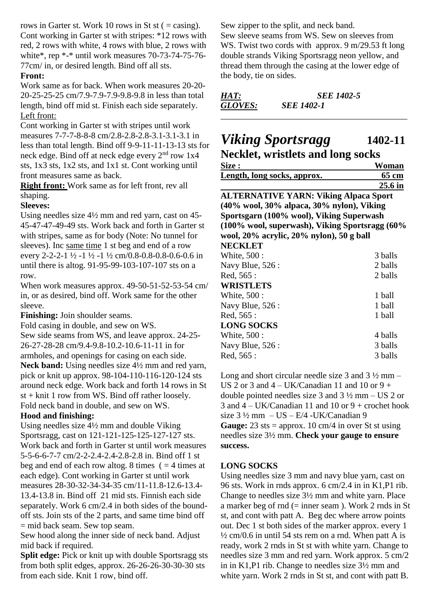rows in Garter st. Work 10 rows in St st ( $=$  casing). Cont working in Garter st with stripes: \*12 rows with red, 2 rows with white, 4 rows with blue, 2 rows with white\*, rep \*-\* until work measures 70-73-74-75-76- 77cm/ in, or desired length. Bind off all sts.

# **Front:**

Work same as for back. When work measures 20-20- 20-25-25-25 cm/7.9-7.9-7.9-9.8-9.8 in less than total length, bind off mid st. Finish each side separately. Left front:

Cont working in Garter st with stripes until work measures 7-7-7-8-8-8 cm/2.8-2.8-2.8-3.1-3.1-3.1 in less than total length. Bind off 9-9-11-11-13-13 sts for neck edge. Bind off at neck edge every 2nd row 1x4 sts, 1x3 sts, 1x2 sts, and 1x1 st. Cont working until front measures same as back.

**Right front:** Work same as for left front, rev all shaping.

### **Sleeves:**

Using needles size 4½ mm and red yarn, cast on 45- 45-47-47-49-49 sts. Work back and forth in Garter st with stripes, same as for body (Note: No tunnel for sleeves). Inc same time 1 st beg and end of a row every 2-2-2-1 ½ -1 ½ -1 ½ cm/0.8-0.8-0.8-0.6-0.6 in until there is altog. 91-95-99-103-107-107 sts on a row.

When work measures approx. 49-50-51-52-53-54 cm/ in, or as desired, bind off. Work same for the other sleeve.

**Finishing:** Join shoulder seams.

Fold casing in double, and sew on WS.

Sew side seams from WS, and leave approx. 24-25- 26-27-28-28 cm/9.4-9.8-10.2-10.6-11-11 in for armholes, and openings for casing on each side. **Neck band:** Using needles size 4½ mm and red yarn, pick or knit up approx. 98-104-110-116-120-124 sts around neck edge. Work back and forth 14 rows in St st + knit 1 row from WS. Bind off rather loosely. Fold neck band in double, and sew on WS.

# **Hood and finishing:**

Using needles size 4½ mm and double Viking Sportsragg, cast on 121-121-125-125-127-127 sts. Work back and forth in Garter st until work measures 5-5-6-6-7-7 cm/2-2-2.4-2.4-2.8-2.8 in. Bind off 1 st beg and end of each row altog. 8 times  $( = 4$  times at each edge). Cont working in Garter st until work measures 28-30-32-34-34-35 cm/11-11.8-12.6-13.4- 13.4-13.8 in. Bind off 21 mid sts. Finnish each side separately. Work 6 cm/2.4 in both sides of the boundoff sts. Join sts of the 2 parts, and same time bind off = mid back seam. Sew top seam.

Sew hood along the inner side of neck band. Adjust mid back if required.

**Split edge:** Pick or knit up with double Sportsragg sts from both split edges, approx. 26-26-26-30-30-30 sts from each side. Knit 1 row, bind off.

Sew zipper to the split, and neck band.

Sew sleeve seams from WS. Sew on sleeves from WS. Twist two cords with approx. 9 m/29.53 ft long double strands Viking Sportsragg neon yellow, and thread them through the casing at the lower edge of the body, tie on sides.

| HAT:           | <b>SEE 1402-5</b> |  |
|----------------|-------------------|--|
| <b>GLOVES:</b> | <i>SEE 1402-1</i> |  |

# *Viking Sportsragg* **1402-11 Necklet, wristlets and long socks**

| <b>Neckiel, wristiels and long socks</b>       |         |  |  |  |
|------------------------------------------------|---------|--|--|--|
| Size :                                         | Woman   |  |  |  |
| Length, long socks, approx.                    | 65 cm   |  |  |  |
|                                                | 25.6 in |  |  |  |
| <b>ALTERNATIVE YARN: Viking Alpaca Sport</b>   |         |  |  |  |
| (40% wool, 30% alpaca, 30% nylon), Viking      |         |  |  |  |
| Sportsgarn (100% wool), Viking Superwash       |         |  |  |  |
| (100% wool, superwash), Viking Sportsragg (60% |         |  |  |  |
| wool, 20% acrylic, 20% nylon), 50 g ball       |         |  |  |  |
| <b>NECKLET</b>                                 |         |  |  |  |
| White, 500 :                                   | 3 balls |  |  |  |
| Navy Blue, 526 :                               | 2 balls |  |  |  |
| Red, 565 :                                     | 2 balls |  |  |  |
| <b>WRISTLETS</b>                               |         |  |  |  |
| White, 500 :                                   | 1 ball  |  |  |  |
| Navy Blue, 526 :                               | 1 ball  |  |  |  |
| Red, 565 :                                     | 1 ball  |  |  |  |
| <b>LONG SOCKS</b>                              |         |  |  |  |
| White, 500 :                                   | 4 balls |  |  |  |
| Navy Blue, 526 :                               | 3 balls |  |  |  |
| Red, 565 :                                     | 3 balls |  |  |  |

Long and short circular needle size 3 and  $3\frac{1}{2}$  mm – US 2 or 3 and  $4 - UK/Canadian$  11 and 10 or 9 + double pointed needles size 3 and  $3\frac{1}{2}$  mm – US 2 or 3 and  $4 - UK/Canadian$  11 and 10 or  $9 + crochet$  hook size  $3\frac{1}{2}$  mm  $-$  US  $-$  E/4 -UK/Canadian 9 **Gauge:**  $23$  sts = approx. 10 cm/4 in over St st using needles size 3½ mm. **Check your gauge to ensure success.** 

# **LONG SOCKS**

Using needles size 3 mm and navy blue yarn, cast on 96 sts. Work in rnds approx. 6 cm/2.4 in in K1,P1 rib. Change to needles size 3½ mm and white yarn. Place a marker beg of rnd  $(=$  inner seam ). Work 2 rnds in St st, and cont with patt A. Beg dec where arrow points out. Dec 1 st both sides of the marker approx. every 1  $\frac{1}{2}$  cm/0.6 in until 54 sts rem on a rnd. When patt A is ready, work 2 rnds in St st with white yarn. Change to needles size 3 mm and red yarn. Work approx. 5 cm/2 in in K1,P1 rib. Change to needles size 3½ mm and white yarn. Work 2 rnds in St st, and cont with patt B.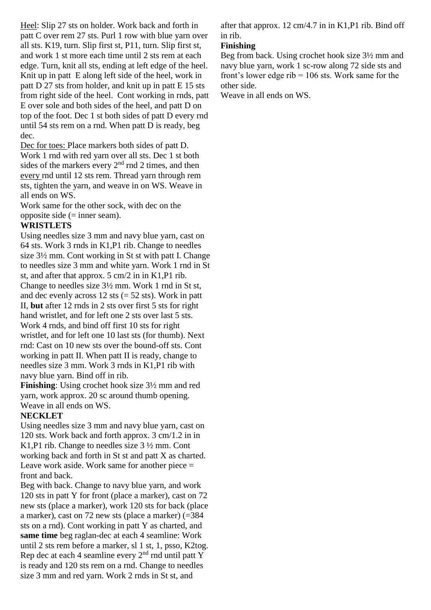Heel: Slip 27 sts on holder. Work back and forth in patt C over rem 27 sts. Purl 1 row with blue yarn over all sts. K19, turn. Slip first st, P11, turn. Slip first st, and work 1 st more each time until 2 sts rem at each edge. Turn, knit all sts, ending at left edge of the heel. Knit up in patt E along left side of the heel, work in patt D 27 sts from holder, and knit up in patt E 15 sts from right side of the heel. Cont working in rnds, patt E over sole and both sides of the heel, and patt D on top of the foot. Dec 1 st both sides of patt D every rnd until 54 sts rem on a rnd. When patt D is ready, beg dec.

Dec for toes: Place markers both sides of patt D. Work 1 rnd with red yarn over all sts. Dec 1 st both sides of the markers every  $2<sup>nd</sup>$  rnd 2 times, and then every rnd until 12 sts rem. Thread yarn through rem sts, tighten the yarn, and weave in on WS. Weave in all ends on WS.

Work same for the other sock, with dec on the opposite side (= inner seam).

### **WRISTLETS**

Using needles size 3 mm and navy blue yarn, cast on 64 sts. Work 3 rnds in K1,P1 rib. Change to needles size 3½ mm. Cont working in St st with patt I. Change to needles size 3 mm and white yarn. Work 1 rnd in St st, and after that approx. 5 cm/2 in in K1,P1 rib. Change to needles size 3½ mm. Work 1 rnd in St st, and dec evenly across  $12$  sts (= 52 sts). Work in patt II, **but** after 12 rnds in 2 sts over first 5 sts for right hand wristlet, and for left one 2 sts over last 5 sts. Work 4 rnds, and bind off first 10 sts for right wristlet, and for left one 10 last sts (for thumb). Next rnd: Cast on 10 new sts over the bound-off sts. Cont working in patt II. When patt II is ready, change to needles size 3 mm. Work 3 rnds in K1,P1 rib with navy blue yarn. Bind off in rib.

**Finishing**: Using crochet hook size  $3\frac{1}{2}$  mm and red yarn, work approx. 20 sc around thumb opening. Weave in all ends on WS.

#### **NECKLET**

Using needles size 3 mm and navy blue yarn, cast on 120 sts. Work back and forth approx. 3 cm/1.2 in in K1,P1 rib. Change to needles size 3 ½ mm. Cont working back and forth in St st and patt X as charted. Leave work aside. Work same for another piece  $=$ front and back.

Beg with back. Change to navy blue yarn, and work 120 sts in patt Y for front (place a marker), cast on 72 new sts (place a marker), work 120 sts for back (place a marker), cast on 72 new sts (place a marker) (=384 sts on a rnd). Cont working in patt Y as charted, and **same time** beg raglan-dec at each 4 seamline: Work until 2 sts rem before a marker, sl 1 st, 1, psso, K2tog. Rep dec at each 4 seamline every  $2<sup>nd</sup>$  rnd until patt Y is ready and 120 sts rem on a rnd. Change to needles size 3 mm and red yarn. Work 2 rnds in St st, and

after that approx.  $12 \text{ cm}/4.7$  in in K1,P1 rib. Bind off in rib.

### **Finishing**

Beg from back. Using crochet hook size 3½ mm and navy blue yarn, work 1 sc-row along 72 side sts and front's lower edge rib = 106 sts. Work same for the other side.

Weave in all ends on WS.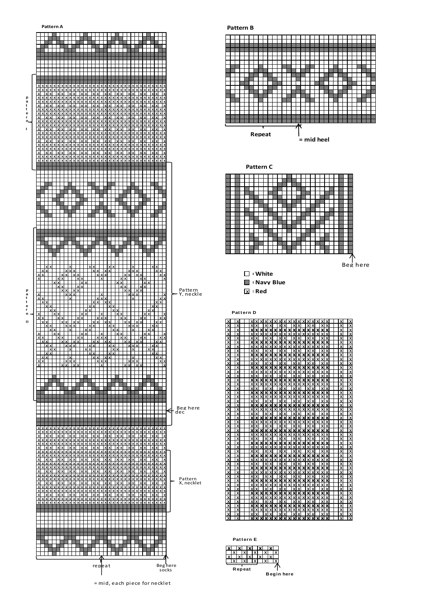

Beg here

┪

= mid, each piece for necklet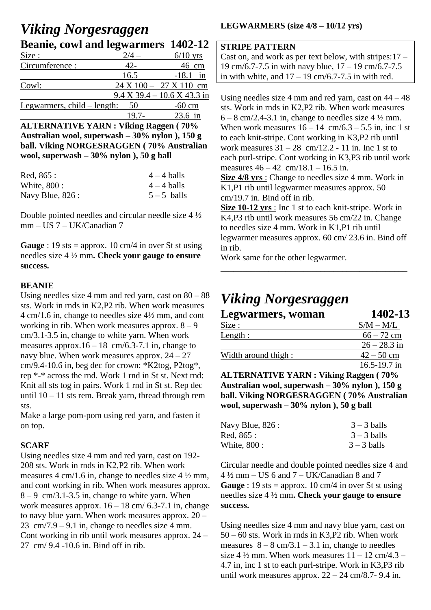# *Viking Norgesraggen* **Beanie, cowl and legwarmers 1402-12**

| $2/4 -$                               | $6/10$ yrs                                         |
|---------------------------------------|----------------------------------------------------|
| $42-$                                 | 46 cm                                              |
| 16.5                                  | $-18.1$ in                                         |
|                                       | $24 \text{ X } 100 - 27 \text{ X } 110 \text{ cm}$ |
|                                       | $9.4$ X 39.4 - 10.6 X 43.3 in                      |
| Legwarmers, $child$ – length:<br>- 50 | $-60$ cm                                           |
| $19.7 -$                              | 23.6 in                                            |
|                                       |                                                    |

**ALTERNATIVE YARN : Viking Raggen ( 70% Australian wool, superwash – 30% nylon ), 150 g ball. Viking NORGESRAGGEN ( 70% Australian wool, superwash – 30% nylon ), 50 g ball**

| Red, 865 :        | $4 - 4$ balls |
|-------------------|---------------|
| White, 800 :      | $4 - 4$ balls |
| Navy Blue, $826:$ | $5-5$ balls   |

Double pointed needles and circular needle size 4 ½ mm – US 7 – UK/Canadian 7

**Gauge** : 19 sts = approx. 10 cm/4 in over St st using needles size 4 ½ mm**. Check your gauge to ensure success.**

# **BEANIE**

Using needles size 4 mm and red yarn, cast on 80 – 88 sts. Work in rnds in K2,P2 rib. When work measures 4 cm/1.6 in, change to needles size 4½ mm, and cont working in rib. When work measures approx.  $8 - 9$ cm/3.1-3.5 in, change to white yarn. When work measures approx. $16 - 18$  cm/6.3-7.1 in, change to navy blue. When work measures approx.  $24 - 27$ cm/9.4-10.6 in, beg dec for crown: \*K2tog, P2tog\*, rep \*-\* across the rnd. Work 1 rnd in St st. Next rnd: Knit all sts tog in pairs. Work 1 rnd in St st. Rep dec until 10 – 11 sts rem. Break yarn, thread through rem sts.

Make a large pom-pom using red yarn, and fasten it on top.

# **SCARF**

Using needles size 4 mm and red yarn, cast on 192- 208 sts. Work in rnds in K2,P2 rib. When work measures 4 cm/1.6 in, change to needles size 4 ½ mm, and cont working in rib. When work measures approx.  $8 - 9$  cm/3.1-3.5 in, change to white yarn. When work measures approx.  $16 - 18$  cm/ 6.3-7.1 in, change to navy blue yarn. When work measures approx. 20 – 23 cm/7.9 – 9.1 in, change to needles size 4 mm. Cont working in rib until work measures approx. 24 –  $27 \text{ cm}/9.4 - 10.6$  in. Bind off in rib.

# **LEGWARMERS (size 4/8 – 10/12 yrs)**

#### **STRIPE PATTERN**

Cast on, and work as per text below, with stripes:17 – 19 cm/6.7-7.5 in with navy blue, 17 – 19 cm/6.7-7.5 in with white, and  $17 - 19$  cm/6.7-7.5 in with red.

Using needles size 4 mm and red yarn, cast on  $44 - 48$ sts. Work in rnds in K2,P2 rib. When work measures  $6 - 8$  cm/2.4-3.1 in, change to needles size 4  $\frac{1}{2}$  mm. When work measures  $16 - 14$  cm/6.3 – 5.5 in, inc 1 st to each knit-stripe. Cont working in K3,P2 rib until work measures  $31 - 28$  cm/12.2 - 11 in. Inc 1 st to each purl-stripe. Cont working in K3,P3 rib until work measures  $46 - 42$  cm/18.1 – 16.5 in.

**Size 4/8 yrs** : Change to needles size 4 mm. Work in K1,P1 rib until legwarmer measures approx. 50 cm/19.7 in. Bind off in rib.

**Size 10-12 yrs** : Inc 1 st to each knit-stripe. Work in K4,P3 rib until work measures 56 cm/22 in. Change to needles size 4 mm. Work in K1,P1 rib until legwarmer measures approx. 60 cm/ 23.6 in. Bind off in rib.

\_\_\_\_\_\_\_\_\_\_\_\_\_\_\_\_\_\_\_\_\_\_\_\_\_\_\_\_\_\_\_\_\_\_\_\_\_\_\_\_\_\_\_

Work same for the other legwarmer.

# *Viking Norgesraggen*

| Legwarmers, woman    | 1402-13        |
|----------------------|----------------|
| Size :               | $S/M - M/L$    |
| Length:              | $66 - 72$ cm   |
|                      | $26 - 28.3$ in |
| Width around thigh : | $42 - 50$ cm   |
|                      | 16.5-19.7 in   |
|                      |                |

**ALTERNATIVE YARN : Viking Raggen ( 70% Australian wool, superwash – 30% nylon ), 150 g ball. Viking NORGESRAGGEN ( 70% Australian wool, superwash – 30% nylon ), 50 g ball**

| Navy Blue, 826 : | $3 - 3$ balls |
|------------------|---------------|
| Red, 865 :       | $3 - 3$ balls |
| White, 800 :     | $3 - 3$ balls |

Circular needle and double pointed needles size 4 and  $4\frac{1}{2}$  mm – US 6 and 7 – UK/Canadian 8 and 7 **Gauge** : 19 sts = approx. 10 cm/4 in over St st using needles size 4 ½ mm**. Check your gauge to ensure success.**

Using needles size 4 mm and navy blue yarn, cast on 50 – 60 sts. Work in rnds in K3,P2 rib. When work measures  $8 - 8$  cm/3.1 – 3.1 in, change to needles size  $4\frac{1}{2}$  mm. When work measures  $11 - 12$  cm/4.3 – 4.7 in, inc 1 st to each purl-stripe. Work in K3,P3 rib until work measures approx.  $22 - 24$  cm/8.7- 9.4 in.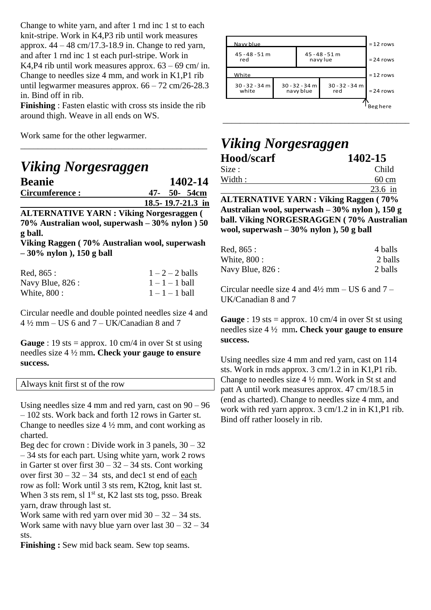Change to white yarn, and after 1 rnd inc 1 st to each knit-stripe. Work in K4,P3 rib until work measures approx.  $44 - 48$  cm/17.3-18.9 in. Change to red yarn, and after 1 rnd inc 1 st each purl-stripe. Work in K4,P4 rib until work measures approx.  $63 - 69$  cm/ in. Change to needles size 4 mm, and work in K1,P1 rib until legwarmer measures approx. 66 – 72 cm/26-28.3 in. Bind off in rib.

**Finishing** : Fasten elastic with cross sts inside the rib around thigh. Weave in all ends on WS.

\_\_\_\_\_\_\_\_\_\_\_\_\_\_\_\_\_\_\_\_\_\_\_\_\_\_\_\_\_\_\_\_\_\_\_\_\_\_\_\_\_\_\_

Work same for the other legwarmer.

| <b>Viking Norgesraggen</b> |                   |
|----------------------------|-------------------|
| <b>Beanie</b>              | 1402-14           |
| Circumference:             | 47- 50- 54cm      |
|                            | 18.5-19.7-21.3 in |

**ALTERNATIVE YARN : Viking Norgesraggen ( 70% Australian wool, superwash – 30% nylon ) 50 g ball.**

**Viking Raggen ( 70% Australian wool, superwash – 30% nylon ), 150 g ball**

| Red, 865 :        | $1-2-2$ balls    |
|-------------------|------------------|
| Navy Blue, $826:$ | $1 - 1 - 1$ ball |
| White, 800 :      | $1 - 1 - 1$ ball |

Circular needle and double pointed needles size 4 and  $4\frac{1}{2}$  mm – US 6 and 7 – UK/Canadian 8 and 7

**Gauge** : 19 sts = approx. 10 cm/4 in over St st using needles size 4 ½ mm**. Check your gauge to ensure success.**

Always knit first st of the row

Using needles size 4 mm and red yarn, cast on  $90 - 96$ – 102 sts. Work back and forth 12 rows in Garter st. Change to needles size  $4\frac{1}{2}$  mm, and cont working as charted.

Beg dec for crown : Divide work in 3 panels,  $30 - 32$ – 34 sts for each part. Using white yarn, work 2 rows in Garter st over first  $30 - 32 - 34$  sts. Cont working over first  $30 - 32 - 34$  sts, and dec1 st end of each row as foll: Work until 3 sts rem, K2tog, knit last st. When 3 sts rem, sl  $1<sup>st</sup>$  st, K2 last sts tog, psso. Break yarn, draw through last st.

Work same with red yarn over mid  $30 - 32 - 34$  sts. Work same with navy blue yarn over last  $30 - 32 - 34$ sts.

**Finishing :** Sew mid back seam. Sew top seams.



# *Viking Norgesraggen* **Hood/scarf 1402-15**

| $\lambda$ i menti anive vant vel $\cdot$ n $\cdot$ (faat |                 |
|----------------------------------------------------------|-----------------|
|                                                          | $23.6$ in       |
| Width:                                                   | $60 \text{ cm}$ |
| Size :                                                   | Child           |
|                                                          |                 |

**ALTERNATIVE YARN : Viking Raggen ( 70% Australian wool, superwash – 30% nylon ), 150 g ball. Viking NORGESRAGGEN ( 70% Australian wool, superwash – 30% nylon ), 50 g ball**

| Red, 865 :       | 4 balls |
|------------------|---------|
| White, 800 :     | 2 balls |
| Navy Blue, 826 : | 2 balls |

Circular needle size 4 and  $4\frac{1}{2}$  mm – US 6 and 7 – UK/Canadian 8 and 7

**Gauge** : 19 sts = approx. 10 cm/4 in over St st using needles size 4 ½ mm**. Check your gauge to ensure success.**

Using needles size 4 mm and red yarn, cast on 114 sts. Work in rnds approx. 3 cm/1.2 in in K1,P1 rib. Change to needles size 4 ½ mm. Work in St st and patt A until work measures approx. 47 cm/18.5 in (end as charted). Change to needles size 4 mm, and work with red yarn approx. 3 cm/1.2 in in K1,P1 rib. Bind off rather loosely in rib.